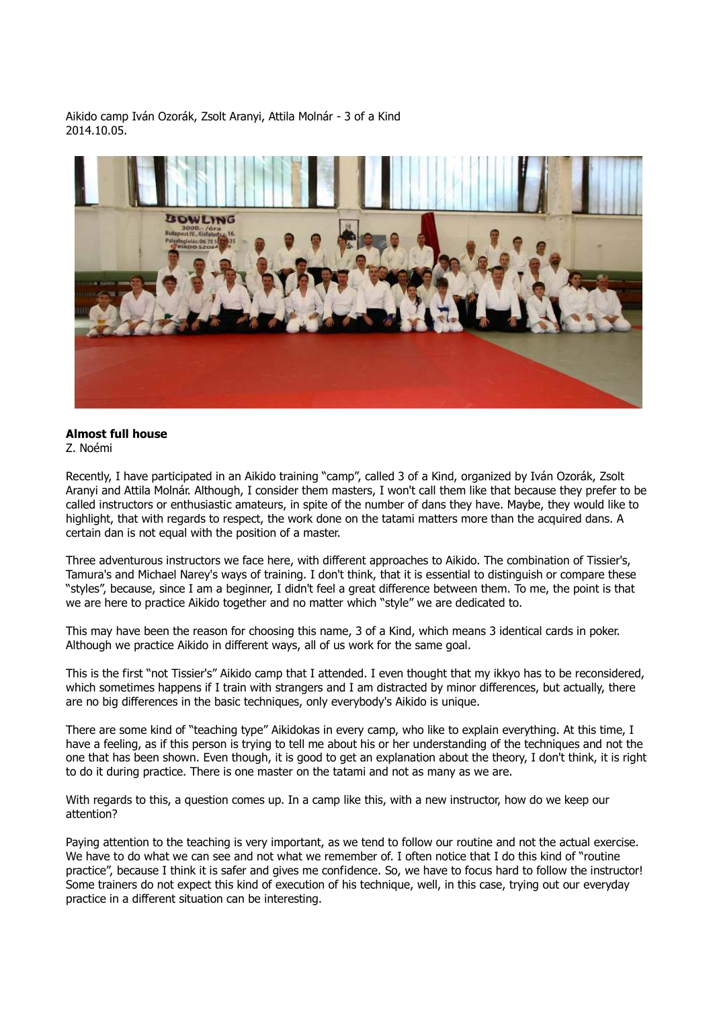Aikido camp Iván Ozorák, Zsolt Aranyi, Attila Molnár - 3 of a Kind 2014.10.05.



## **Almost full house**

Z. Noémi

Recently, I have participated in an Aikido training "camp", called 3 of a Kind, organized by Iván Ozorák, Zsolt Aranyi and Attila Molnár. Although, I consider them masters, I won't call them like that because they prefer to be called instructors or enthusiastic amateurs, in spite of the number of dans they have. Maybe, they would like to highlight, that with regards to respect, the work done on the tatami matters more than the acquired dans. A certain dan is not equal with the position of a master.

Three adventurous instructors we face here, with different approaches to Aikido. The combination of Tissier's, Tamura's and Michael Narey's ways of training. I don't think, that it is essential to distinguish or compare these "styles", because, since I am a beginner, I didn't feel a great difference between them. To me, the point is that we are here to practice Aikido together and no matter which "style" we are dedicated to.

This may have been the reason for choosing this name, 3 of a Kind, which means 3 identical cards in poker. Although we practice Aikido in different ways, all of us work for the same goal.

This is the first "not Tissier's" Aikido camp that I attended. I even thought that my ikkyo has to be reconsidered, which sometimes happens if I train with strangers and I am distracted by minor differences, but actually, there are no big differences in the basic techniques, only everybody's Aikido is unique.

There are some kind of "teaching type" Aikidokas in every camp, who like to explain everything. At this time, I have a feeling, as if this person is trying to tell me about his or her understanding of the techniques and not the one that has been shown. Even though, it is good to get an explanation about the theory, I don't think, it is right to do it during practice. There is one master on the tatami and not as many as we are.

With regards to this, a question comes up. In a camp like this, with a new instructor, how do we keep our attention?

Paying attention to the teaching is very important, as we tend to follow our routine and not the actual exercise. We have to do what we can see and not what we remember of. I often notice that I do this kind of "routine" practice", because I think it is safer and gives me confidence. So, we have to focus hard to follow the instructor! Some trainers do not expect this kind of execution of his technique, well, in this case, trying out our everyday practice in a different situation can be interesting.